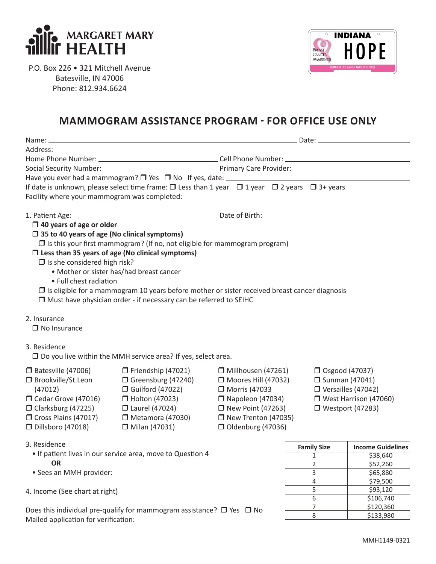



P.O. Box 226 • 321 Mitchell Avenue Batesville, IN 47006 Phone: 812.934.6624

## **MAMMOGRAM ASSISTANCE PROGRAM - FOR OFFICE USE ONLY**

|                                                     | Have you ever had a mammogram? $\Box$ Yes $\Box$ No If yes, date: $\Box$ And a set of the set of the set of the set of the set of the set of the set of the set of the set of the set of the set of the set of the set of the set o |                                                                        |                    |                          |
|-----------------------------------------------------|-------------------------------------------------------------------------------------------------------------------------------------------------------------------------------------------------------------------------------------|------------------------------------------------------------------------|--------------------|--------------------------|
|                                                     | If date is unknown, please select time frame: $\Box$ Less than 1 year $\Box$ 1 year $\Box$ 2 years $\Box$ 3+ years                                                                                                                  |                                                                        |                    |                          |
|                                                     |                                                                                                                                                                                                                                     |                                                                        |                    |                          |
|                                                     |                                                                                                                                                                                                                                     |                                                                        |                    |                          |
| $\Box$ 40 years of age or older                     |                                                                                                                                                                                                                                     |                                                                        |                    |                          |
| $\Box$ 35 to 40 years of age (No clinical symptoms) |                                                                                                                                                                                                                                     |                                                                        |                    |                          |
|                                                     | $\Box$ Is this your first mammogram? (If no, not eligible for mammogram program)                                                                                                                                                    |                                                                        |                    |                          |
|                                                     | $\square$ Less than 35 years of age (No clinical symptoms)                                                                                                                                                                          |                                                                        |                    |                          |
| $\square$ Is she considered high risk?              |                                                                                                                                                                                                                                     |                                                                        |                    |                          |
|                                                     | • Mother or sister has/had breast cancer                                                                                                                                                                                            |                                                                        |                    |                          |
| • Full chest radiation                              |                                                                                                                                                                                                                                     |                                                                        |                    |                          |
|                                                     | $\Box$ Is eligible for a mammogram 10 years before mother or sister received breast cancer diagnosis                                                                                                                                |                                                                        |                    |                          |
|                                                     | $\Box$ Must have physician order - if necessary can be referred to SEIHC                                                                                                                                                            |                                                                        |                    |                          |
| 2. Insurance<br>$\Box$ No Insurance<br>3. Residence | $\Box$ Do you live within the MMH service area? If yes, select area.                                                                                                                                                                |                                                                        |                    |                          |
|                                                     |                                                                                                                                                                                                                                     |                                                                        |                    |                          |
| $\Box$ Batesville (47006)                           | $\Box$ Friendship (47021)                                                                                                                                                                                                           | $\Box$ Millhousen (47261)                                              | □ Osgood (47037)   |                          |
| □ Brookville/St.Leon                                | Greensburg (47240)                                                                                                                                                                                                                  | □ Moores Hill (47032)<br>□ Sunman (47041)<br>$\Box$ Versailles (47042) |                    |                          |
| (47012)                                             | □ Guilford (47022)                                                                                                                                                                                                                  | □ Morris (47033                                                        |                    |                          |
| Cedar Grove (47016)                                 | □ Holton (47023)                                                                                                                                                                                                                    | $\Box$ Napoleon (47034)                                                |                    | □ West Harrison (47060)  |
| $\Box$ Clarksburg (47225)                           | □ Laurel (47024)                                                                                                                                                                                                                    | □ New Point (47263)                                                    | □ Westport (47283) |                          |
| $\Box$ Cross Plains (47017)                         | $\Box$ Metamora (47030)                                                                                                                                                                                                             | $\Box$ New Trenton (47035)                                             |                    |                          |
| $\Box$ Dillsboro (47018)                            | □ Milan (47031)                                                                                                                                                                                                                     | $\Box$ Oldenburg (47036)                                               |                    |                          |
| 3. Residence                                        |                                                                                                                                                                                                                                     |                                                                        | <b>Family Size</b> | <b>Income Guidelines</b> |
|                                                     | • If patient lives in our service area, move to Question 4                                                                                                                                                                          |                                                                        | 1                  | \$38,640                 |
| <b>OR</b>                                           |                                                                                                                                                                                                                                     |                                                                        | 2                  | \$52,260                 |
|                                                     |                                                                                                                                                                                                                                     |                                                                        | 3                  | \$65,880                 |
|                                                     |                                                                                                                                                                                                                                     |                                                                        | 4                  | \$79,500                 |
| 4. Income (See chart at right)                      |                                                                                                                                                                                                                                     |                                                                        | 5                  | \$93,120                 |
|                                                     |                                                                                                                                                                                                                                     |                                                                        | 6                  | \$106,740                |
|                                                     | Does this individual pre-qualify for mammogram assistance? $\Box$ Yes $\Box$ No                                                                                                                                                     |                                                                        | 7                  | \$120,360                |
|                                                     |                                                                                                                                                                                                                                     |                                                                        | 8                  | \$133,980                |
|                                                     |                                                                                                                                                                                                                                     |                                                                        |                    |                          |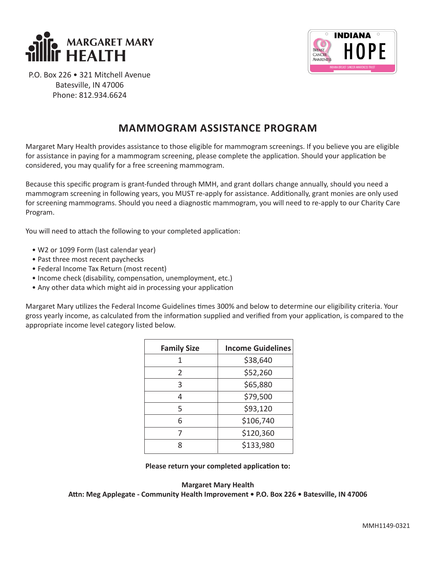



P.O. Box 226 • 321 Mitchell Avenue Batesville, IN 47006 Phone: 812.934.6624

## **MAMMOGRAM ASSISTANCE PROGRAM**

Margaret Mary Health provides assistance to those eligible for mammogram screenings. If you believe you are eligible for assistance in paying for a mammogram screening, please complete the application. Should your application be considered, you may qualify for a free screening mammogram.

Because this specific program is grant-funded through MMH, and grant dollars change annually, should you need a mammogram screening in following years, you MUST re-apply for assistance. Additionally, grant monies are only used for screening mammograms. Should you need a diagnostic mammogram, you will need to re-apply to our Charity Care Program.

You will need to attach the following to your completed application:

- W2 or 1099 Form (last calendar year)
- Past three most recent paychecks
- Federal Income Tax Return (most recent)
- Income check (disability, compensation, unemployment, etc.)
- Any other data which might aid in processing your application

Margaret Mary utilizes the Federal Income Guidelines times 300% and below to determine our eligibility criteria. Your gross yearly income, as calculated from the information supplied and verified from your application, is compared to the appropriate income level category listed below.

| <b>Family Size</b> | <b>Income Guidelines</b> |
|--------------------|--------------------------|
|                    | \$38,640                 |
| 2                  | \$52,260                 |
| 3                  | \$65,880                 |
| 4                  | \$79,500                 |
| 5                  | \$93,120                 |
| 6                  | \$106,740                |
|                    | \$120,360                |
| Ջ                  | \$133,980                |

**Please return your completed application to:**

## **Margaret Mary Health**

**Attn: Meg Applegate - Community Health Improvement • P.O. Box 226 • Batesville, IN 47006**